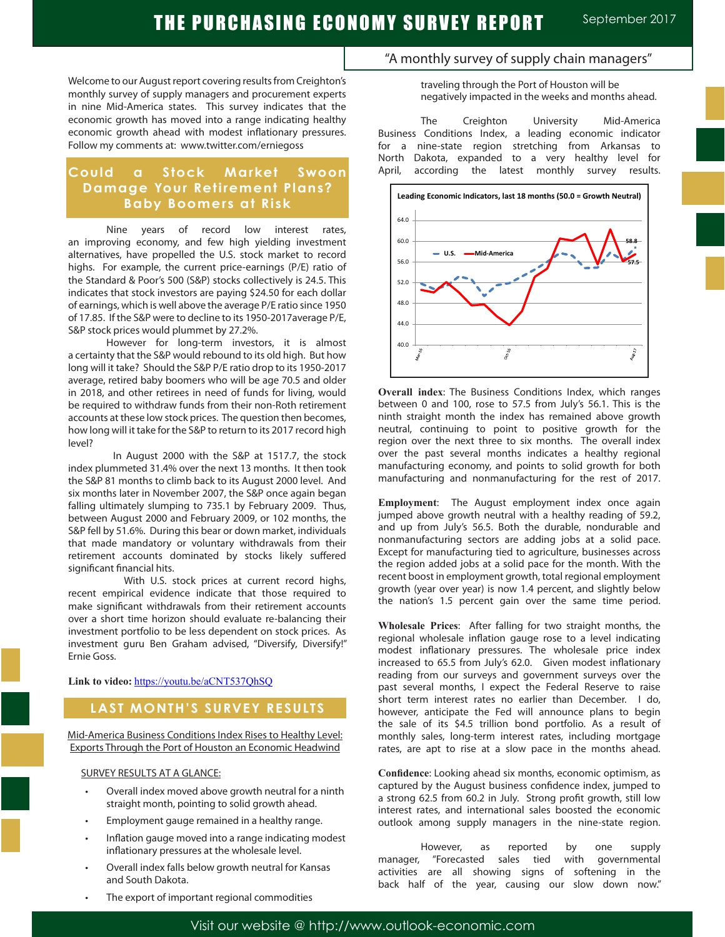Welcome to our August report covering results from Creighton's monthly survey of supply managers and procurement experts in nine Mid-America states. This survey indicates that the economic growth has moved into a range indicating healthy economic growth ahead with modest inflationary pressures. Follow my comments at: www.twitter.com/erniegoss

# **Could a Stock Market Swoon Damage Your Retirement Plans? Baby Boomers at Risk**

Nine years of record low interest rates, an improving economy, and few high yielding investment alternatives, have propelled the U.S. stock market to record highs. For example, the current price-earnings (P/E) ratio of the Standard & Poor's 500 (S&P) stocks collectively is 24.5. This indicates that stock investors are paying \$24.50 for each dollar of earnings, which is well above the average P/E ratio since 1950 of 17.85. If the S&P were to decline to its 1950-2017average P/E, S&P stock prices would plummet by 27.2%.

 However for long-term investors, it is almost a certainty that the S&P would rebound to its old high. But how long will it take? Should the S&P P/E ratio drop to its 1950-2017 average, retired baby boomers who will be age 70.5 and older in 2018, and other retirees in need of funds for living, would be required to withdraw funds from their non-Roth retirement accounts at these low stock prices. The question then becomes, how long will it take for the S&P to return to its 2017 record high level?

 In August 2000 with the S&P at 1517.7, the stock index plummeted 31.4% over the next 13 months. It then took the S&P 81 months to climb back to its August 2000 level. And six months later in November 2007, the S&P once again began falling ultimately slumping to 735.1 by February 2009. Thus, between August 2000 and February 2009, or 102 months, the S&P fell by 51.6%. During this bear or down market, individuals that made mandatory or voluntary withdrawals from their retirement accounts dominated by stocks likely suffered significant financial hits.

 With U.S. stock prices at current record highs, recent empirical evidence indicate that those required to make significant withdrawals from their retirement accounts over a short time horizon should evaluate re-balancing their investment portfolio to be less dependent on stock prices. As investment guru Ben Graham advised, "Diversify, Diversify!" Ernie Goss.

**Link to video:** https://youtu.be/aCNT537QhSQ

# **LAST MONTH'S SURVEY RESULTS**

Mid-America Business Conditions Index Rises to Healthy Level: Exports Through the Port of Houston an Economic Headwind

SURVEY RESULTS AT A GLANCE:

- Overall index moved above growth neutral for a ninth straight month, pointing to solid growth ahead.
- Employment gauge remained in a healthy range.
- Inflation gauge moved into a range indicating modest inflationary pressures at the wholesale level.
- Overall index falls below growth neutral for Kansas and South Dakota.
- The export of important regional commodities

# "A monthly survey of supply chain managers"

traveling through the Port of Houston will be negatively impacted in the weeks and months ahead.

The Creighton University Mid-America Business Conditions Index, a leading economic indicator for a nine-state region stretching from Arkansas to North Dakota, expanded to a very healthy level for April, according the latest monthly survey results.



**Overall index**: The Business Conditions Index, which ranges between 0 and 100, rose to 57.5 from July's 56.1. This is the ninth straight month the index has remained above growth neutral, continuing to point to positive growth for the region over the next three to six months. The overall index over the past several months indicates a healthy regional manufacturing economy, and points to solid growth for both manufacturing and nonmanufacturing for the rest of 2017.

**Employment**: The August employment index once again jumped above growth neutral with a healthy reading of 59.2, and up from July's 56.5. Both the durable, nondurable and nonmanufacturing sectors are adding jobs at a solid pace. Except for manufacturing tied to agriculture, businesses across the region added jobs at a solid pace for the month. With the recent boost in employment growth, total regional employment growth (year over year) is now 1.4 percent, and slightly below the nation's 1.5 percent gain over the same time period.

**Wholesale Prices**: After falling for two straight months, the regional wholesale inflation gauge rose to a level indicating modest inflationary pressures. The wholesale price index increased to 65.5 from July's 62.0. Given modest inflationary reading from our surveys and government surveys over the past several months, I expect the Federal Reserve to raise short term interest rates no earlier than December. I do, however, anticipate the Fed will announce plans to begin the sale of its \$4.5 trillion bond portfolio. As a result of monthly sales, long-term interest rates, including mortgage rates, are apt to rise at a slow pace in the months ahead.

**Confidence**: Looking ahead six months, economic optimism, as captured by the August business confidence index, jumped to a strong 62.5 from 60.2 in July. Strong profit growth, still low interest rates, and international sales boosted the economic outlook among supply managers in the nine-state region.

However, as reported by one supply manager, "Forecasted sales tied with governmental activities are all showing signs of softening in the back half of the year, causing our slow down now."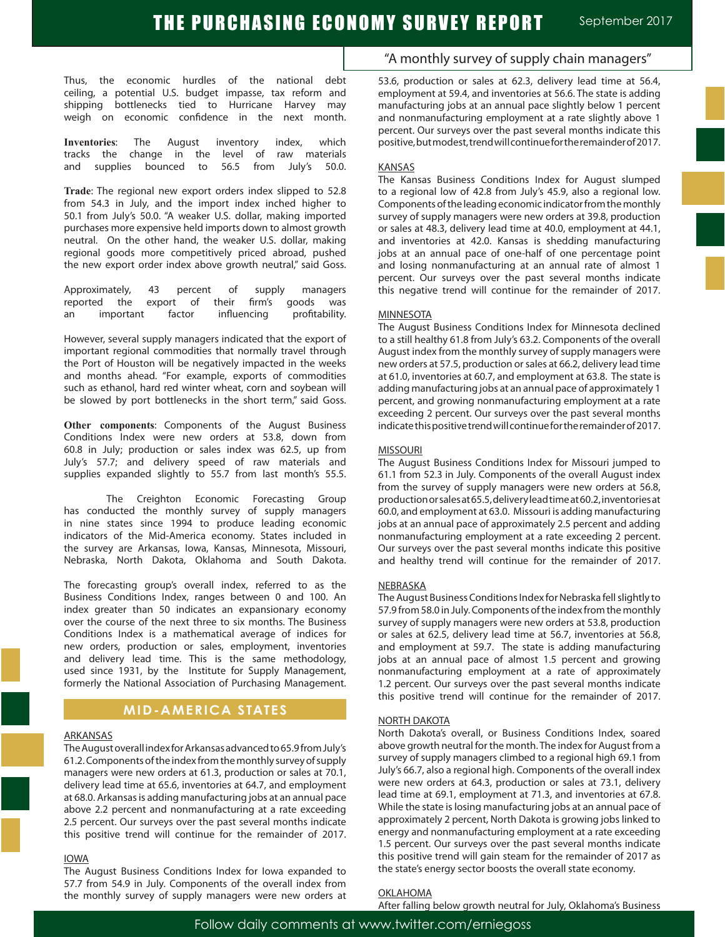Thus, the economic hurdles of the national debt ceiling, a potential U.S. budget impasse, tax reform and shipping bottlenecks tied to Hurricane Harvey may weigh on economic confidence in the next month.

**Inventories**: The August inventory index, which tracks the change in the level of raw materials and supplies bounced to 56.5 from July's 50.0.

**Trade**: The regional new export orders index slipped to 52.8 from 54.3 in July, and the import index inched higher to 50.1 from July's 50.0. "A weaker U.S. dollar, making imported purchases more expensive held imports down to almost growth neutral. On the other hand, the weaker U.S. dollar, making regional goods more competitively priced abroad, pushed the new export order index above growth neutral," said Goss.

Approximately, 43 percent of supply managers reported the export of their firm's goods was an important factor influencing profitability.

However, several supply managers indicated that the export of important regional commodities that normally travel through the Port of Houston will be negatively impacted in the weeks and months ahead. "For example, exports of commodities such as ethanol, hard red winter wheat, corn and soybean will be slowed by port bottlenecks in the short term," said Goss.

**Other components**: Components of the August Business Conditions Index were new orders at 53.8, down from 60.8 in July; production or sales index was 62.5, up from July's 57.7; and delivery speed of raw materials and supplies expanded slightly to 55.7 from last month's 55.5.

The Creighton Economic Forecasting Group has conducted the monthly survey of supply managers in nine states since 1994 to produce leading economic indicators of the Mid-America economy. States included in the survey are Arkansas, Iowa, Kansas, Minnesota, Missouri, Nebraska, North Dakota, Oklahoma and South Dakota.

The forecasting group's overall index, referred to as the Business Conditions Index, ranges between 0 and 100. An index greater than 50 indicates an expansionary economy over the course of the next three to six months. The Business Conditions Index is a mathematical average of indices for new orders, production or sales, employment, inventories and delivery lead time. This is the same methodology, used since 1931, by the Institute for Supply Management, formerly the National Association of Purchasing Management.

# **MID-AMERICA STATES**

#### ARKANSAS

The August overall index for Arkansas advanced to 65.9 from July's 61.2. Components of the index from the monthly survey of supply managers were new orders at 61.3, production or sales at 70.1, delivery lead time at 65.6, inventories at 64.7, and employment at 68.0. Arkansas is adding manufacturing jobs at an annual pace above 2.2 percent and nonmanufacturing at a rate exceeding 2.5 percent. Our surveys over the past several months indicate this positive trend will continue for the remainder of 2017.

#### IOWA

The August Business Conditions Index for Iowa expanded to 57.7 from 54.9 in July. Components of the overall index from the monthly survey of supply managers were new orders at

# "A monthly survey of supply chain managers"

53.6, production or sales at 62.3, delivery lead time at 56.4, employment at 59.4, and inventories at 56.6. The state is adding manufacturing jobs at an annual pace slightly below 1 percent and nonmanufacturing employment at a rate slightly above 1 percent. Our surveys over the past several months indicate this positive, but modest, trend will continue for the remainder of 2017.

#### KANSAS

The Kansas Business Conditions Index for August slumped to a regional low of 42.8 from July's 45.9, also a regional low. Components of the leading economic indicator from the monthly survey of supply managers were new orders at 39.8, production or sales at 48.3, delivery lead time at 40.0, employment at 44.1, and inventories at 42.0. Kansas is shedding manufacturing jobs at an annual pace of one-half of one percentage point and losing nonmanufacturing at an annual rate of almost 1 percent. Our surveys over the past several months indicate this negative trend will continue for the remainder of 2017.

#### **MINNESOTA**

The August Business Conditions Index for Minnesota declined to a still healthy 61.8 from July's 63.2. Components of the overall August index from the monthly survey of supply managers were new orders at 57.5, production or sales at 66.2, delivery lead time at 61.0, inventories at 60.7, and employment at 63.8. The state is adding manufacturing jobs at an annual pace of approximately 1 percent, and growing nonmanufacturing employment at a rate exceeding 2 percent. Our surveys over the past several months indicate this positive trend will continue for the remainder of 2017.

#### MISSOURI

The August Business Conditions Index for Missouri jumped to 61.1 from 52.3 in July. Components of the overall August index from the survey of supply managers were new orders at 56.8, production or sales at 65.5, delivery lead time at 60.2, inventories at 60.0, and employment at 63.0. Missouri is adding manufacturing jobs at an annual pace of approximately 2.5 percent and adding nonmanufacturing employment at a rate exceeding 2 percent. Our surveys over the past several months indicate this positive and healthy trend will continue for the remainder of 2017.

#### NEBRASKA

The August Business Conditions Index for Nebraska fell slightly to 57.9 from 58.0 in July. Components of the index from the monthly survey of supply managers were new orders at 53.8, production or sales at 62.5, delivery lead time at 56.7, inventories at 56.8, and employment at 59.7. The state is adding manufacturing jobs at an annual pace of almost 1.5 percent and growing nonmanufacturing employment at a rate of approximately 1.2 percent. Our surveys over the past several months indicate this positive trend will continue for the remainder of 2017.

#### NORTH DAKOTA

North Dakota's overall, or Business Conditions Index, soared above growth neutral for the month. The index for August from a survey of supply managers climbed to a regional high 69.1 from July's 66.7, also a regional high. Components of the overall index were new orders at 64.3, production or sales at 73.1, delivery lead time at 69.1, employment at 71.3, and inventories at 67.8. While the state is losing manufacturing jobs at an annual pace of approximately 2 percent, North Dakota is growing jobs linked to energy and nonmanufacturing employment at a rate exceeding 1.5 percent. Our surveys over the past several months indicate this positive trend will gain steam for the remainder of 2017 as the state's energy sector boosts the overall state economy.

#### OKLAHOMA

After falling below growth neutral for July, Oklahoma's Business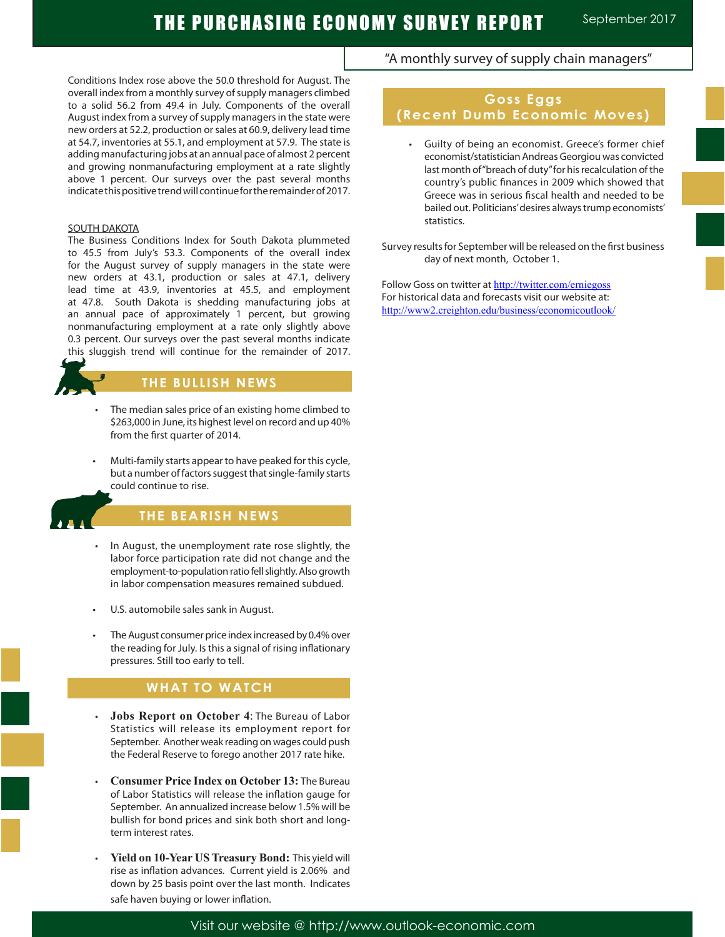# THE PURCHASING ECONOMY SURVEY REPORT September 2017

Conditions Index rose above the 50.0 threshold for August. The overall index from a monthly survey of supply managers climbed to a solid 56.2 from 49.4 in July. Components of the overall August index from a survey of supply managers in the state were new orders at 52.2, production or sales at 60.9, delivery lead time at 54.7, inventories at 55.1, and employment at 57.9. The state is adding manufacturing jobs at an annual pace of almost 2 percent and growing nonmanufacturing employment at a rate slightly above 1 percent. Our surveys over the past several months indicate this positive trend will continue for the remainder of 2017.

#### SOUTH DAKOTA

The Business Conditions Index for South Dakota plummeted to 45.5 from July's 53.3. Components of the overall index for the August survey of supply managers in the state were new orders at 43.1, production or sales at 47.1, delivery lead time at 43.9, inventories at 45.5, and employment at 47.8. South Dakota is shedding manufacturing jobs at an annual pace of approximately 1 percent, but growing nonmanufacturing employment at a rate only slightly above 0.3 percent. Our surveys over the past several months indicate this sluggish trend will continue for the remainder of 2017.

# **THE BULLISH NEWS**

- The median sales price of an existing home climbed to \$263,000 in June, its highest level on record and up 40% from the first quarter of 2014.
- Multi-family starts appear to have peaked for this cycle, but a number of factors suggest that single-family starts could continue to rise.



Ĩ

# **THE BEARISH NEWS**

- In August, the unemployment rate rose slightly, the labor force participation rate did not change and the employment-to-population ratio fell slightly. Also growth in labor compensation measures remained subdued.
- U.S. automobile sales sank in August.
- The August consumer price index increased by 0.4% over the reading for July. Is this a signal of rising inflationary pressures. Still too early to tell.

## **WHAT TO WATCH**

- **Jobs Report on October 4: The Bureau of Labor** Statistics will release its employment report for September. Another weak reading on wages could push the Federal Reserve to forego another 2017 rate hike.
- **Consumer Price Index on October 13: The Bureau** of Labor Statistics will release the inflation gauge for September. An annualized increase below 1.5% will be bullish for bond prices and sink both short and longterm interest rates.
- Yield on 10-Year US Treasury Bond: This yield will rise as inflation advances. Current yield is 2.06% and down by 25 basis point over the last month. Indicates safe haven buying or lower inflation.

# "A monthly survey of supply chain managers"

# **Goss Eggs (Recent Dumb Economic Moves)**

 • Guilty of being an economist. Greece's former chief economist/statistician Andreas Georgiou was convicted last month of "breach of duty" for his recalculation of the country's public finances in 2009 which showed that Greece was in serious fiscal health and needed to be bailed out. Politicians' desires always trump economists' statistics.

Survey results for September will be released on the first business day of next month, October 1.

Follow Goss on twitter at http://twitter.com/erniegoss For historical data and forecasts visit our website at: http://www2.creighton.edu/business/economicoutlook/